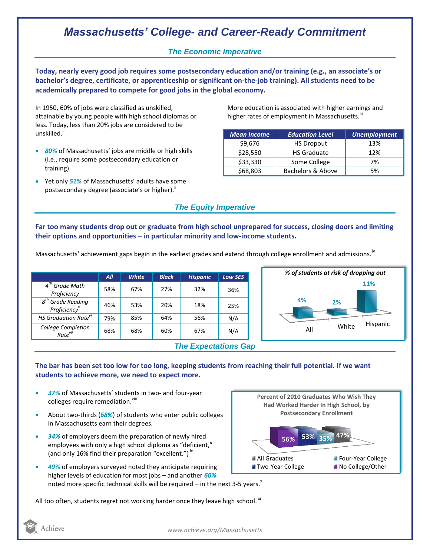# *Massachusetts' College- and Career-Ready Commitment*

### *The Economic Imperative*

**Today, nearly every good job requires some postsecondary education and/or training (e.g., an associate's or bachelor's degree, certificate, or apprenticeship or significant on-the-job training). All students need to be academically prepared to compete for good jobs in the global economy.**

In 1950, 60% of jobs were classified as unskilled, attainable by young people with high school diplomas or less. Today, less than 20% jobs are considered to be unskilled.<sup>1</sup>

- *80%* of Massachusetts' jobs are middle or high skills (i.e., require some postsecondary education or training).
- Yet only *51%* of Massachusetts' adults have some postsecondary degree (associate's or higher)."

More education is associated with higher earnings and higher rates of employment in Massachusetts.<sup>""</sup>

| <b>Mean Income</b> | <b>Education Level</b> | <b>Unemployment</b> |
|--------------------|------------------------|---------------------|
| \$9,676            | <b>HS Dropout</b>      | 13%                 |
| \$28,550           | <b>HS Graduate</b>     | 12%                 |
| \$33,330           | Some College           | 7%                  |
| \$68,803           | Bachelors & Above      | 5%                  |

### *The Equity Imperative*

**Far too many students drop out or graduate from high school unprepared for success, closing doors and limiting their options and opportunities – in particular minority and low-income students.** 

Massachusetts' achievement gaps begin in the earliest grades and extend through college enrollment and admissions.<sup>iv</sup>

|                                                 | All | <b>White</b> | <b>Black</b> | <b>Hispanic</b> | <b>Low SES</b> |
|-------------------------------------------------|-----|--------------|--------------|-----------------|----------------|
| $4th$ Grade Math<br>Proficiency                 | 58% | 67%          | 27%          | 32%             | 36%            |
| $8th$ Grade Reading<br>Proficiency <sup>v</sup> | 46% | 53%          | 20%          | 18%             | 25%            |
| HS Graduation Rate <sup>vi</sup>                | 79% | 85%          | 64%          | 56%             | N/A            |
| College Completion<br>Rate <sup>vii</sup>       | 68% | 68%          | 60%          | 67%             | N/A            |
| <b>The Expectations Gap</b>                     |     |              |              |                 |                |



#### **The bar has been set too low for too long, keeping students from reaching their full potential. If we want students to achieve more, we need to expect more.**

- *37%* of Massachusetts' students in two- and four-year colleges require remediation.<sup>viii</sup>
- About two-thirds (*68%*) of students who enter public colleges in Massachusetts earn their degrees.
- *34%* of employers deem the preparation of newly hired employees with only a high school diploma as "deficient," (and only 16% find their preparation "excellent.")<sup>ix</sup>
- *49%* of employers surveyed noted they anticipate requiring higher levels of education for most jobs – and another *60%* noted more specific technical skills will be required – in the next 3-5 years. $x$

**47% 56% 53% 35% Percent of 2010 Graduates Who Wish They Had Worked Harder In High School, by Postsecondary Enrollment** All Graduates **Four-Year College Theory College College Accollege**/Other

All too often, students regret not working harder once they leave high school.  $^{\text{xi}}$ 



*www.achieve.org/Massachusetts*